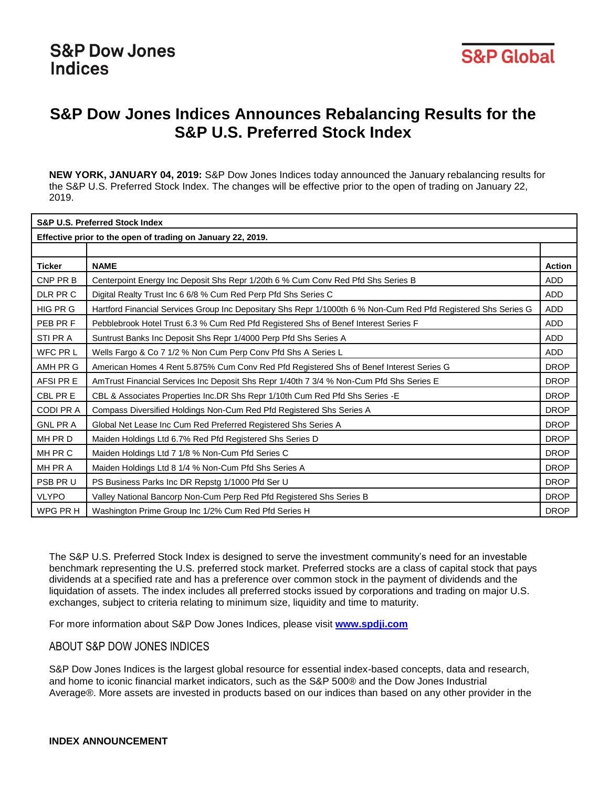

# **S&P Dow Jones Indices Announces Rebalancing Results for the S&P U.S. Preferred Stock Index**

**NEW YORK, JANUARY 04, 2019:** S&P Dow Jones Indices today announced the January rebalancing results for the S&P U.S. Preferred Stock Index. The changes will be effective prior to the open of trading on January 22, 2019.

| <b>S&amp;P U.S. Preferred Stock Index</b>                   |                                                                                                                |               |
|-------------------------------------------------------------|----------------------------------------------------------------------------------------------------------------|---------------|
| Effective prior to the open of trading on January 22, 2019. |                                                                                                                |               |
|                                                             |                                                                                                                |               |
| <b>Ticker</b>                                               | <b>NAME</b>                                                                                                    | <b>Action</b> |
| CNP PR B                                                    | Centerpoint Energy Inc Deposit Shs Repr 1/20th 6 % Cum Conv Red Pfd Shs Series B                               | <b>ADD</b>    |
| DLR PR C                                                    | Digital Realty Trust Inc 6 6/8 % Cum Red Perp Pfd Shs Series C                                                 | ADD           |
| HIG PR G                                                    | Hartford Financial Services Group Inc Depositary Shs Repr 1/1000th 6 % Non-Cum Red Pfd Registered Shs Series G | <b>ADD</b>    |
| PEB PR F                                                    | Pebblebrook Hotel Trust 6.3 % Cum Red Pfd Registered Shs of Benef Interest Series F                            | <b>ADD</b>    |
| STI PR A                                                    | Suntrust Banks Inc Deposit Shs Repr 1/4000 Perp Pfd Shs Series A                                               | <b>ADD</b>    |
| WFC PR L                                                    | Wells Fargo & Co 7 1/2 % Non Cum Perp Conv Pfd Shs A Series L                                                  | <b>ADD</b>    |
| AMH PR G                                                    | American Homes 4 Rent 5.875% Cum Conv Red Pfd Registered Shs of Benef Interest Series G                        | <b>DROP</b>   |
| AFSI PR E                                                   | AmTrust Financial Services Inc Deposit Shs Repr 1/40th 7 3/4 % Non-Cum Pfd Shs Series E                        | <b>DROP</b>   |
| CBL PR E                                                    | CBL & Associates Properties Inc.DR Shs Repr 1/10th Cum Red Pfd Shs Series -E                                   | <b>DROP</b>   |
| <b>CODI PRA</b>                                             | Compass Diversified Holdings Non-Cum Red Pfd Registered Shs Series A                                           | <b>DROP</b>   |
| <b>GNL PRA</b>                                              | Global Net Lease Inc Cum Red Preferred Registered Shs Series A                                                 | <b>DROP</b>   |
| MH PR D                                                     | Maiden Holdings Ltd 6.7% Red Pfd Registered Shs Series D                                                       | <b>DROP</b>   |
| MH PR C                                                     | Maiden Holdings Ltd 7 1/8 % Non-Cum Pfd Series C                                                               | <b>DROP</b>   |
| MH PR A                                                     | Maiden Holdings Ltd 8 1/4 % Non-Cum Pfd Shs Series A                                                           | <b>DROP</b>   |
| PSB PR U                                                    | PS Business Parks Inc DR Repstg 1/1000 Pfd Ser U                                                               | <b>DROP</b>   |
| <b>VLYPO</b>                                                | Valley National Bancorp Non-Cum Perp Red Pfd Registered Shs Series B                                           | <b>DROP</b>   |
| WPG PR H                                                    | Washington Prime Group Inc 1/2% Cum Red Pfd Series H                                                           | <b>DROP</b>   |

The S&P U.S. Preferred Stock Index is designed to serve the investment community's need for an investable benchmark representing the U.S. preferred stock market. Preferred stocks are a class of capital stock that pays dividends at a specified rate and has a preference over common stock in the payment of dividends and the liquidation of assets. The index includes all preferred stocks issued by corporations and trading on major U.S. exchanges, subject to criteria relating to minimum size, liquidity and time to maturity.

For more information about S&P Dow Jones Indices, please visit **[www.spdji.com](http://www.spdji.com/)**

## ABOUT S&P DOW JONES INDICES

S&P Dow Jones Indices is the largest global resource for essential index-based concepts, data and research, and home to iconic financial market indicators, such as the S&P 500® and the Dow Jones Industrial Average®. More assets are invested in products based on our indices than based on any other provider in the